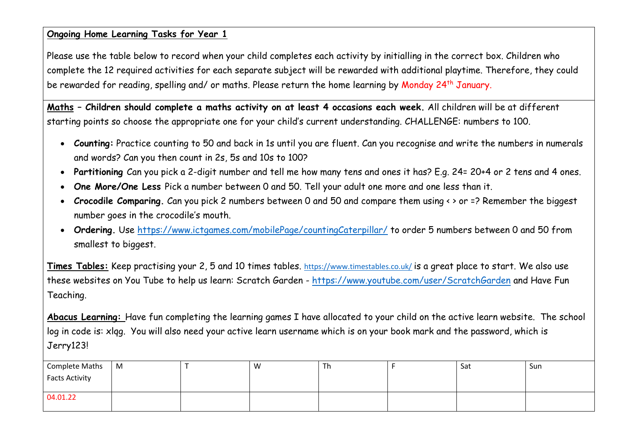### **Ongoing Home Learning Tasks for Year 1**

Please use the table below to record when your child completes each activity by initialling in the correct box. Children who complete the 12 required activities for each separate subject will be rewarded with additional playtime. Therefore, they could be rewarded for reading, spelling and/ or maths. Please return the home learning by Monday 24<sup>th</sup> January.

**Maths – Children should complete a maths activity on at least 4 occasions each week.** All children will be at different starting points so choose the appropriate one for your child's current understanding. CHALLENGE: numbers to 100.

- **Counting:** Practice counting to 50 and back in 1s until you are fluent. Can you recognise and write the numbers in numerals and words? Can you then count in 2s, 5s and 10s to 100?
- **Partitioning** Can you pick a 2-digit number and tell me how many tens and ones it has? E.g. 24= 20+4 or 2 tens and 4 ones.
- **One More/One Less** Pick a number between 0 and 50. Tell your adult one more and one less than it.
- **Crocodile Comparing.** Can you pick 2 numbers between 0 and 50 and compare them using < > or =? Remember the biggest number goes in the crocodile's mouth.
- **Ordering.** Use<https://www.ictgames.com/mobilePage/countingCaterpillar/> to order 5 numbers between 0 and 50 from smallest to biggest.

**Times Tables:** Keep practising your 2, 5 and 10 times tables. <https://www.timestables.co.uk/> is a great place to start. We also use these websites on You Tube to help us learn: Scratch Garden - <https://www.youtube.com/user/ScratchGarden> and Have Fun Teaching.

**Abacus Learning:** Have fun completing the learning games I have allocated to your child on the active learn website. The school log in code is: xlqg. You will also need your active learn username which is on your book mark and the password, which is Jerry123!

| Complete Maths<br><b>Facts Activity</b> | $\mid M$ | W | Th | Sat | Sun |
|-----------------------------------------|----------|---|----|-----|-----|
| 04.01.22                                |          |   |    |     |     |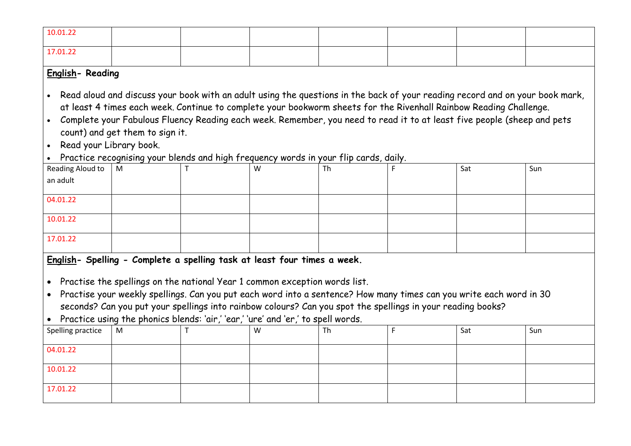| 10.01.22                                                                                                                                                                                                                                                                                                                                                                                                                                                                                                                                                                   |   |  |   |    |   |     |     |  |  |  |  |  |
|----------------------------------------------------------------------------------------------------------------------------------------------------------------------------------------------------------------------------------------------------------------------------------------------------------------------------------------------------------------------------------------------------------------------------------------------------------------------------------------------------------------------------------------------------------------------------|---|--|---|----|---|-----|-----|--|--|--|--|--|
| 17.01.22                                                                                                                                                                                                                                                                                                                                                                                                                                                                                                                                                                   |   |  |   |    |   |     |     |  |  |  |  |  |
| English-Reading                                                                                                                                                                                                                                                                                                                                                                                                                                                                                                                                                            |   |  |   |    |   |     |     |  |  |  |  |  |
| Read aloud and discuss your book with an adult using the questions in the back of your reading record and on your book mark,<br>$\bullet$<br>at least 4 times each week. Continue to complete your bookworm sheets for the Rivenhall Rainbow Reading Challenge.<br>Complete your Fabulous Fluency Reading each week. Remember, you need to read it to at least five people (sheep and pets<br>$\bullet$<br>count) and get them to sign it.<br>Read your Library book.<br>$\bullet$<br>Practice recognising your blends and high frequency words in your flip cards, daily. |   |  |   |    |   |     |     |  |  |  |  |  |
| Reading Aloud to<br>an adult                                                                                                                                                                                                                                                                                                                                                                                                                                                                                                                                               | M |  | W | Th |   | Sat | Sun |  |  |  |  |  |
|                                                                                                                                                                                                                                                                                                                                                                                                                                                                                                                                                                            |   |  |   |    |   |     |     |  |  |  |  |  |
| 04.01.22                                                                                                                                                                                                                                                                                                                                                                                                                                                                                                                                                                   |   |  |   |    |   |     |     |  |  |  |  |  |
| 10.01.22                                                                                                                                                                                                                                                                                                                                                                                                                                                                                                                                                                   |   |  |   |    |   |     |     |  |  |  |  |  |
| 17.01.22                                                                                                                                                                                                                                                                                                                                                                                                                                                                                                                                                                   |   |  |   |    |   |     |     |  |  |  |  |  |
| English- Spelling - Complete a spelling task at least four times a week.<br>Practise the spellings on the national Year 1 common exception words list.<br>$\bullet$<br>Practise your weekly spellings. Can you put each word into a sentence? How many times can you write each word in 30<br>$\bullet$<br>seconds? Can you put your spellings into rainbow colours? Can you spot the spellings in your reading books?<br>Practice using the phonics blends: 'air,' 'ear,' 'ure' and 'er,' to spell words.                                                                 |   |  |   |    |   |     |     |  |  |  |  |  |
| Spelling practice                                                                                                                                                                                                                                                                                                                                                                                                                                                                                                                                                          | м |  | w | Th | F | Sat | Sun |  |  |  |  |  |
| 04.01.22                                                                                                                                                                                                                                                                                                                                                                                                                                                                                                                                                                   |   |  |   |    |   |     |     |  |  |  |  |  |
| 10.01.22                                                                                                                                                                                                                                                                                                                                                                                                                                                                                                                                                                   |   |  |   |    |   |     |     |  |  |  |  |  |
| 17.01.22                                                                                                                                                                                                                                                                                                                                                                                                                                                                                                                                                                   |   |  |   |    |   |     |     |  |  |  |  |  |